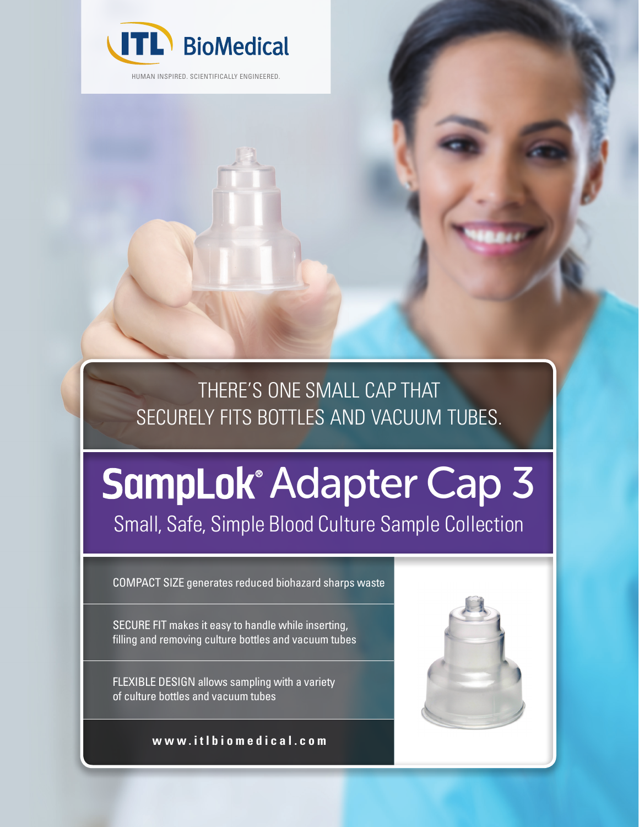

HUMAN INSPIRED. SCIENTIFICALLY ENGINEERED.

THERE'S ONE SMALL CAP THAT SECURELY FITS BOTTLES AND VACUUM TUBES.

# **SampLok Adapter Cap 3**

Small, Safe, Simple Blood Culture Sample Collection

COMPACT SIZE generates reduced biohazard sharps waste

SECURE FIT makes it easy to handle while inserting, filling and removing culture bottles and vacuum tubes

FLEXIBLE DESIGN allows sampling with a variety of culture bottles and vacuum tubes

**www.itlbiomedical.com**